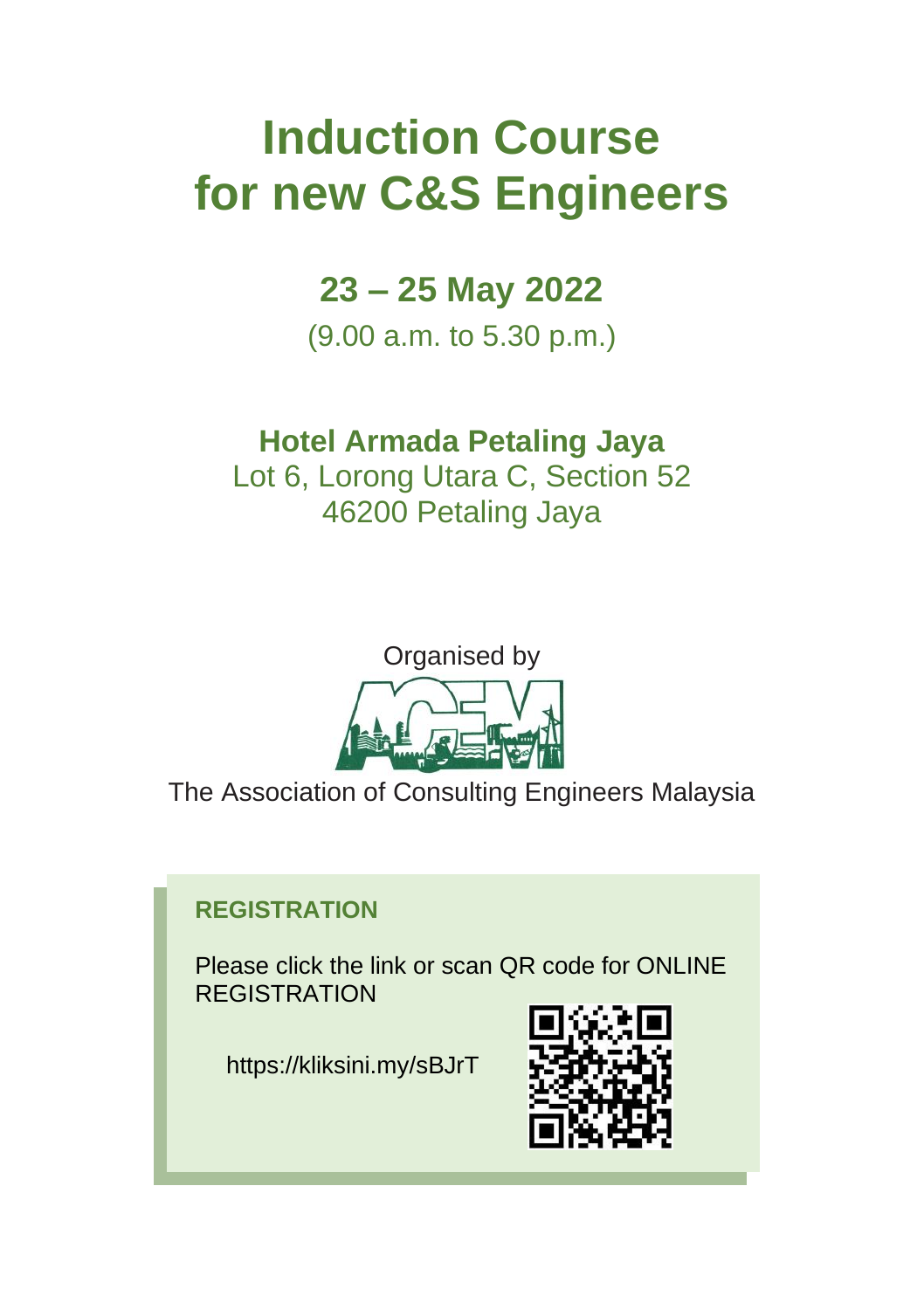# **Induction Course for new C&S Engineers**

# **23 – 25 May 2022**

(9.00 a.m. to 5.30 p.m.)

# **Hotel Armada Petaling Jaya**

Lot 6, Lorong Utara C, Section 52 46200 Petaling Jaya



The Association of Consulting Engineers Malaysia

# **REGISTRATION**

Please click the link or scan QR code for ONLINE REGISTRATION

https://kliksini.my/sBJrT

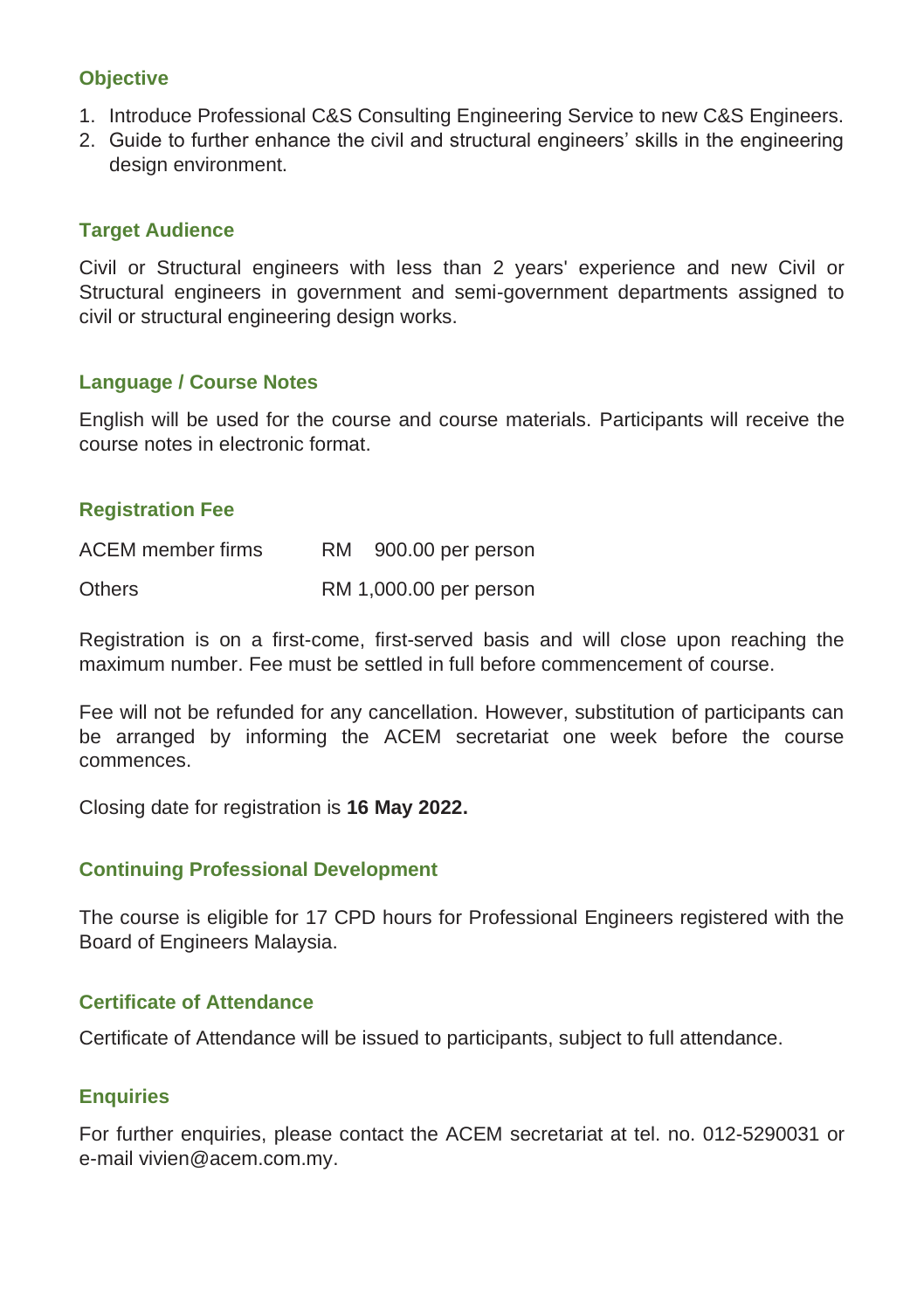### **Objective**

- 1. Introduce Professional C&S Consulting Engineering Service to new C&S Engineers.
- 2. Guide to further enhance the civil and structural engineers' skills in the engineering design environment.

#### **Target Audience**

Civil or Structural engineers with less than 2 years' experience and new Civil or Structural engineers in government and semi-government departments assigned to civil or structural engineering design works.

#### **Language / Course Notes**

English will be used for the course and course materials. Participants will receive the course notes in electronic format.

#### **Registration Fee**

| ACEM member firms | RM. | 900.00 per person      |
|-------------------|-----|------------------------|
| <b>Others</b>     |     | RM 1,000.00 per person |

Registration is on a first-come, first-served basis and will close upon reaching the maximum number. Fee must be settled in full before commencement of course.

Fee will not be refunded for any cancellation. However, substitution of participants can be arranged by informing the ACEM secretariat one week before the course commences.

Closing date for registration is **16 May 2022.**

#### **Continuing Professional Development**

The course is eligible for 17 CPD hours for Professional Engineers registered with the Board of Engineers Malaysia.

#### **Certificate of Attendance**

Certificate of Attendance will be issued to participants, subject to full attendance.

#### **Enquiries**

For further enquiries, please contact the ACEM secretariat at tel. no. 012-5290031 or e-mail vivien@acem.com.my.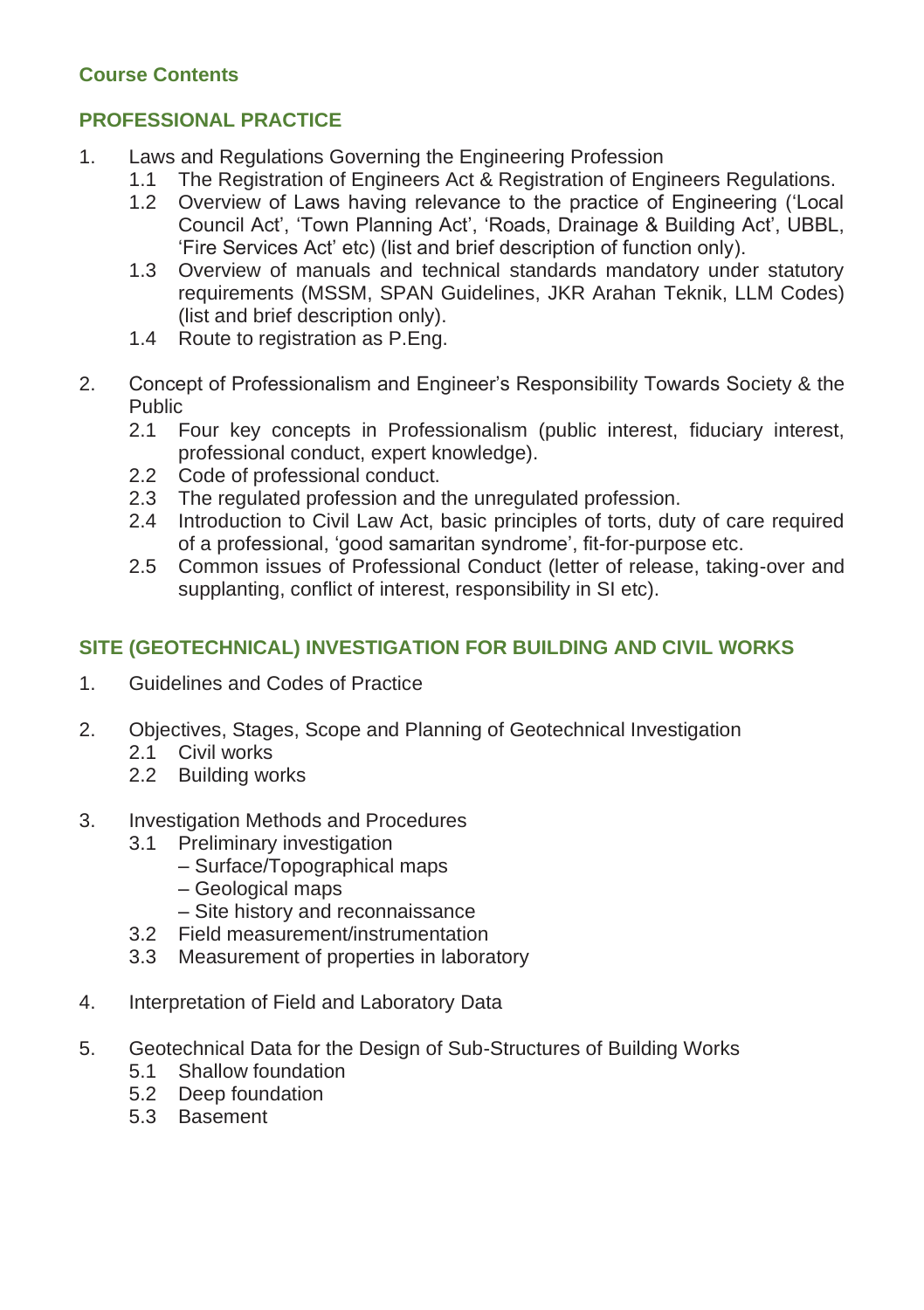# **Course Contents**

# **PROFESSIONAL PRACTICE**

- 1. Laws and Regulations Governing the Engineering Profession
	- 1.1 The Registration of Engineers Act & Registration of Engineers Regulations.
	- 1.2 Overview of Laws having relevance to the practice of Engineering ('Local Council Act', 'Town Planning Act', 'Roads, Drainage & Building Act', UBBL, 'Fire Services Act' etc) (list and brief description of function only).
	- 1.3 Overview of manuals and technical standards mandatory under statutory requirements (MSSM, SPAN Guidelines, JKR Arahan Teknik, LLM Codes) (list and brief description only).
	- 1.4 Route to registration as P.Eng.
- 2. Concept of Professionalism and Engineer's Responsibility Towards Society & the Public
	- 2.1 Four key concepts in Professionalism (public interest, fiduciary interest, professional conduct, expert knowledge).
	- 2.2 Code of professional conduct.
	- 2.3 The regulated profession and the unregulated profession.
	- 2.4 Introduction to Civil Law Act, basic principles of torts, duty of care required of a professional, 'good samaritan syndrome', fit-for-purpose etc.
	- 2.5 Common issues of Professional Conduct (letter of release, taking-over and supplanting, conflict of interest, responsibility in SI etc).

# **SITE (GEOTECHNICAL) INVESTIGATION FOR BUILDING AND CIVIL WORKS**

- 1. Guidelines and Codes of Practice
- 2. Objectives, Stages, Scope and Planning of Geotechnical Investigation
	- 2.1 Civil works
	- 2.2 Building works
- 3. Investigation Methods and Procedures
	- 3.1 Preliminary investigation
		- Surface/Topographical maps
		- Geological maps
		- Site history and reconnaissance
	- 3.2 Field measurement/instrumentation
	- 3.3 Measurement of properties in laboratory
- 4. Interpretation of Field and Laboratory Data
- 5. Geotechnical Data for the Design of Sub-Structures of Building Works
	- 5.1 Shallow foundation
	- 5.2 Deep foundation
	- 5.3 Basement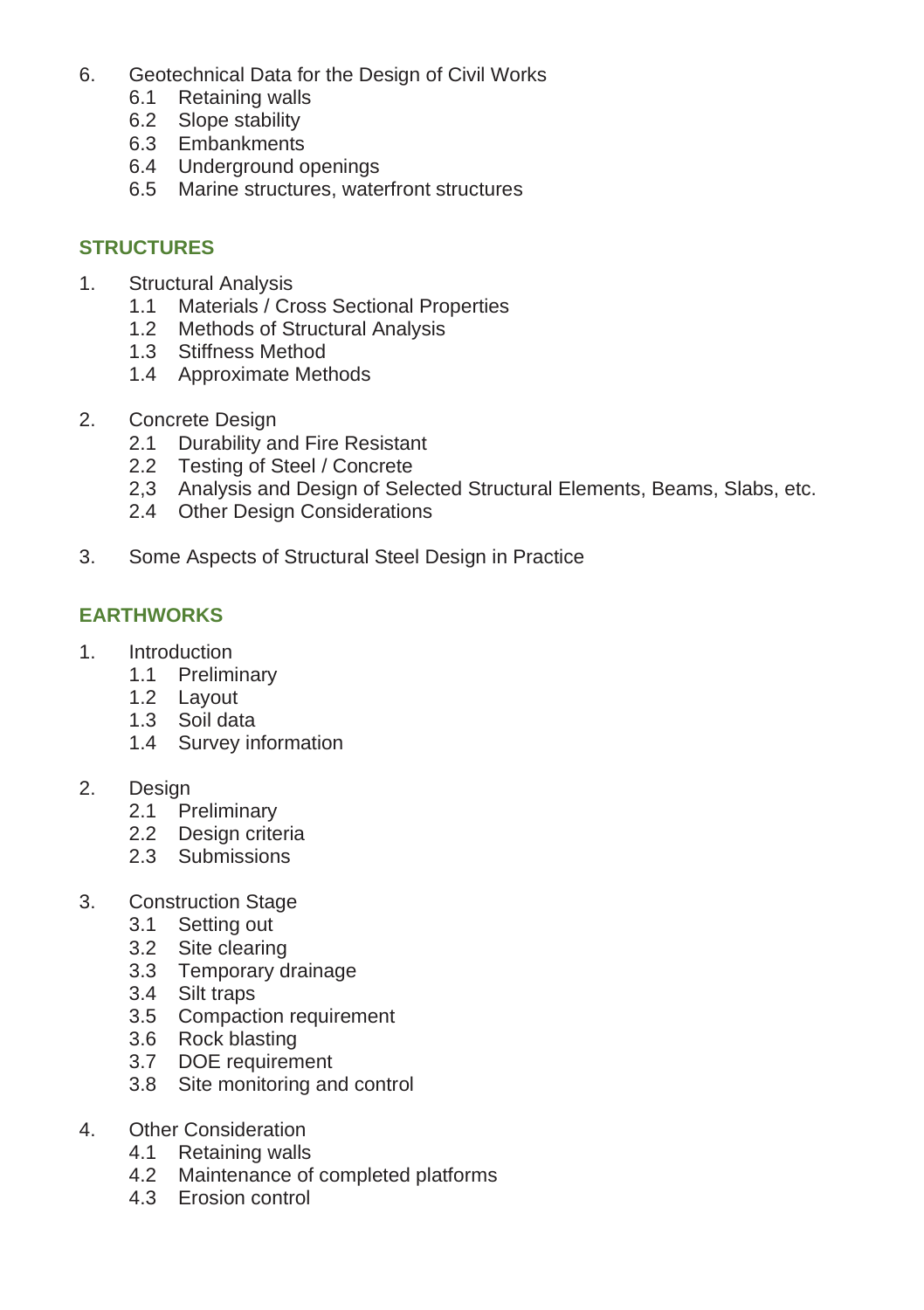- 6. Geotechnical Data for the Design of Civil Works
	- 6.1 Retaining walls
	- 6.2 Slope stability
	- 6.3 Embankments
	- 6.4 Underground openings
	- 6.5 Marine structures, waterfront structures

### **STRUCTURES**

- 1. Structural Analysis
	- 1.1 Materials / Cross Sectional Properties
	- 1.2 Methods of Structural Analysis
	- 1.3 Stiffness Method
	- 1.4 Approximate Methods
- 2. Concrete Design
	- 2.1 Durability and Fire Resistant
	- 2.2 Testing of Steel / Concrete
	- 2,3 Analysis and Design of Selected Structural Elements, Beams, Slabs, etc.
	- 2.4 Other Design Considerations
- 3. Some Aspects of Structural Steel Design in Practice

# **EARTHWORKS**

- 1. Introduction
	- 1.1 Preliminary
	- 1.2 Layout
	- 1.3 Soil data
	- 1.4 Survey information
- 2. Design
	- 2.1 Preliminary
	- 2.2 Design criteria
	- 2.3 Submissions
- 3. Construction Stage
	- 3.1 Setting out
	- 3.2 Site clearing
	- 3.3 Temporary drainage
	- 3.4 Silt traps
	- 3.5 Compaction requirement
	- 3.6 Rock blasting
	- 3.7 DOE requirement
	- 3.8 Site monitoring and control
- 4. Other Consideration
	- 4.1 Retaining walls
	- 4.2 Maintenance of completed platforms
	- 4.3 Erosion control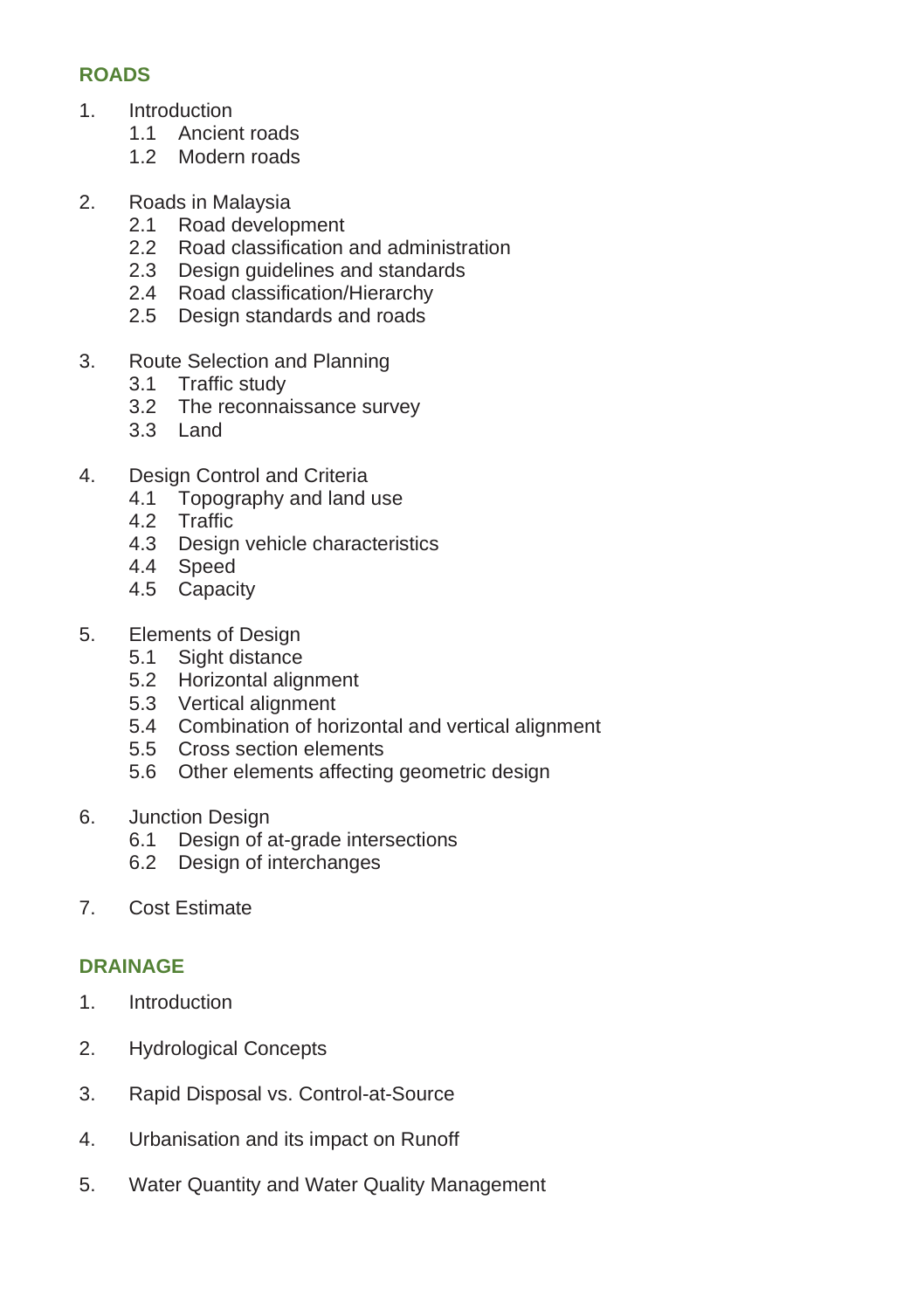# **ROADS**

- 1. Introduction
	- 1.1 Ancient roads
	- 1.2 Modern roads
- 2. Roads in Malaysia
	- 2.1 Road development
	- 2.2 Road classification and administration
	- 2.3 Design guidelines and standards
	- 2.4 Road classification/Hierarchy
	- 2.5 Design standards and roads
- 3. Route Selection and Planning
	- 3.1 Traffic study
	- 3.2 The reconnaissance survey
	- 3.3 Land
- 4. Design Control and Criteria
	- 4.1 Topography and land use
	- 4.2 Traffic
	- 4.3 Design vehicle characteristics
	- 4.4 Speed
	- 4.5 Capacity
- 5. Elements of Design
	- 5.1 Sight distance
	- 5.2 Horizontal alignment
	- 5.3 Vertical alignment
	- 5.4 Combination of horizontal and vertical alignment
	- 5.5 Cross section elements
	- 5.6 Other elements affecting geometric design
- 6. Junction Design
	- 6.1 Design of at-grade intersections
	- 6.2 Design of interchanges
- 7. Cost Estimate

# **DRAINAGE**

- 1. Introduction
- 2. Hydrological Concepts
- 3. Rapid Disposal vs. Control-at-Source
- 4. Urbanisation and its impact on Runoff
- 5. Water Quantity and Water Quality Management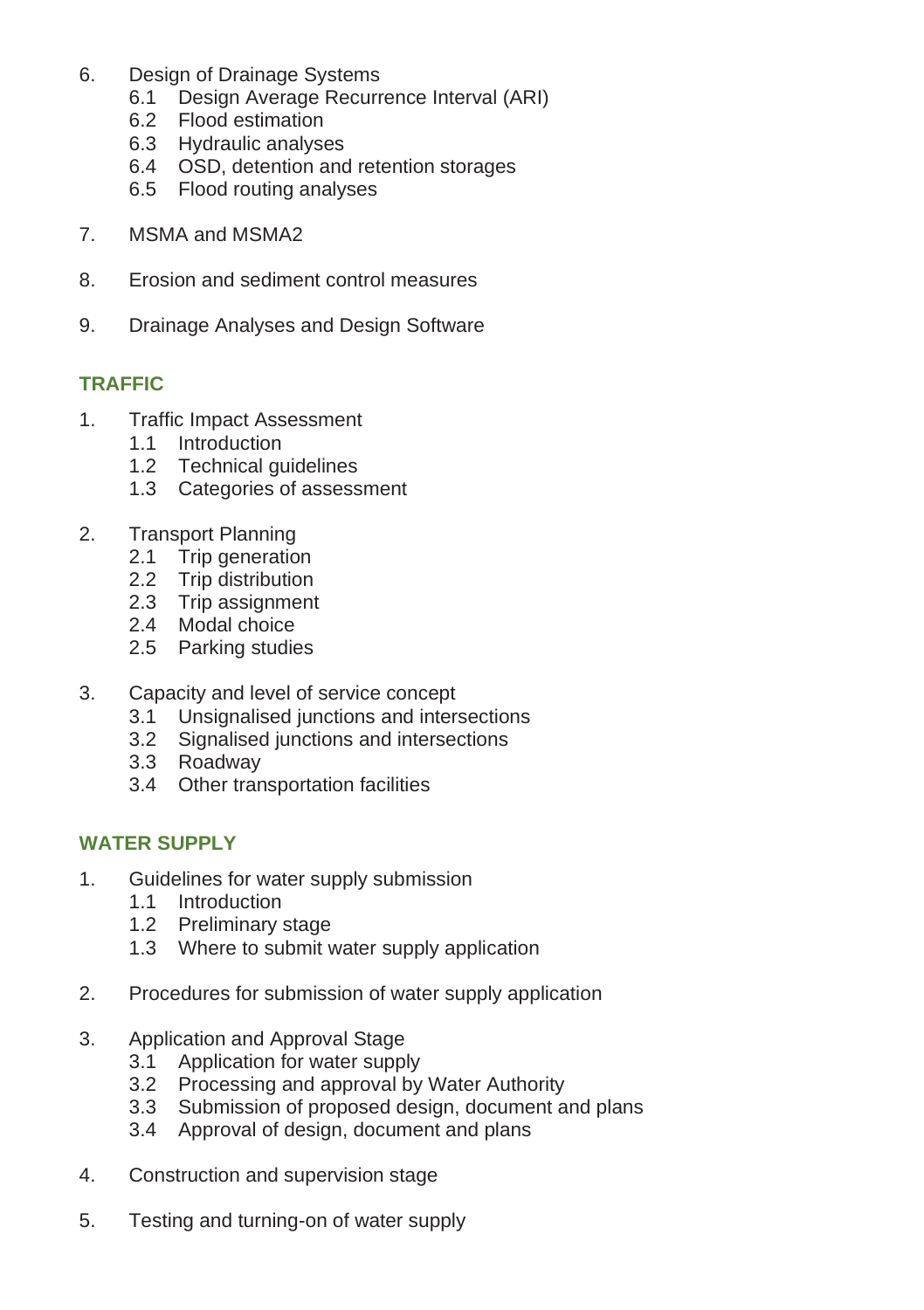- 6. Design of Drainage Systems
	- 6.1 Design Average Recurrence Interval (ARI)
	- 6.2 Flood estimation
	- 6.3 Hydraulic analyses
	- 6.4 OSD, detention and retention storages
	- 6.5 Flood routing analyses
- 7. MSMA and MSMA2
- 8. Erosion and sediment control measures
- 9. Drainage Analyses and Design Software

# **TRAFFIC**

- 1. Traffic Impact Assessment
	- 1.1 Introduction
	- 1.2 Technical guidelines
	- 1.3 Categories of assessment
- 2. Transport Planning
	- 2.1 Trip generation
	- 2.2 Trip distribution
	- 2.3 Trip assignment
	- 2.4 Modal choice
	- 2.5 Parking studies
- 3. Capacity and level of service concept<br>3.1 Unsignalised junctions and inter-
	- Unsignalised junctions and intersections
	- 3.2 Signalised junctions and intersections
	- 3.3 Roadway
	- 3.4 Other transportation facilities

# **WATER SUPPLY**

- 1. Guidelines for water supply submission
	- 1.1 Introduction
	- 1.2 Preliminary stage
	- 1.3 Where to submit water supply application
- 2. Procedures for submission of water supply application
- 3. Application and Approval Stage
	- 3.1 Application for water supply
	- 3.2 Processing and approval by Water Authority
	- 3.3 Submission of proposed design, document and plans
	- 3.4 Approval of design, document and plans
- 4. Construction and supervision stage
- 5. Testing and turning-on of water supply